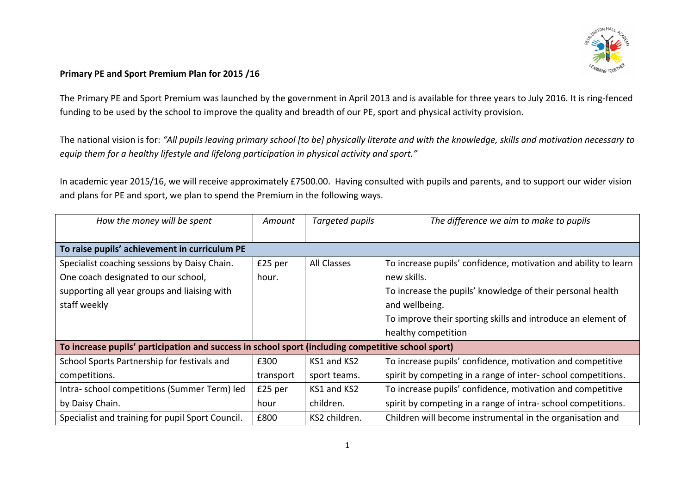

## Primary PE and Sport Premium Plan for 2015 /16

The Primary PE and Sport Premium was launched by the government in April 2013 and is available for three years to July 2016. It is ring-fenced funding to be used by the school to improve the quality and breadth of our PE, sport and physical activity provision.

The national vision is for: "All pupils leaving primary school [to be] physically literate and with the knowledge, skills and motivation necessary to equip them for a healthy lifestyle and lifelong participation in physical activity and sport."

In academic year 2015/16, we will receive approximately £7500.00. Having consulted with pupils and parents, and to support our wider vision and plans for PE and sport, we plan to spend the Premium in the following ways.

| How the money will be spent                                                                        | Amount    | Targeted pupils    | The difference we aim to make to pupils                         |  |  |  |  |
|----------------------------------------------------------------------------------------------------|-----------|--------------------|-----------------------------------------------------------------|--|--|--|--|
|                                                                                                    |           |                    |                                                                 |  |  |  |  |
| To raise pupils' achievement in curriculum PE                                                      |           |                    |                                                                 |  |  |  |  |
| Specialist coaching sessions by Daisy Chain.                                                       | £25 per   | <b>All Classes</b> | To increase pupils' confidence, motivation and ability to learn |  |  |  |  |
| One coach designated to our school,                                                                | hour.     |                    | new skills.                                                     |  |  |  |  |
| supporting all year groups and liaising with                                                       |           |                    | To increase the pupils' knowledge of their personal health      |  |  |  |  |
| staff weekly                                                                                       |           |                    | and wellbeing.                                                  |  |  |  |  |
|                                                                                                    |           |                    | To improve their sporting skills and introduce an element of    |  |  |  |  |
|                                                                                                    |           |                    | healthy competition                                             |  |  |  |  |
| To increase pupils' participation and success in school sport (including competitive school sport) |           |                    |                                                                 |  |  |  |  |
| School Sports Partnership for festivals and                                                        | £300      | KS1 and KS2        | To increase pupils' confidence, motivation and competitive      |  |  |  |  |
| competitions.                                                                                      | transport | sport teams.       | spirit by competing in a range of inter-school competitions.    |  |  |  |  |
| Intra- school competitions (Summer Term) led                                                       | £25 per   | KS1 and KS2        | To increase pupils' confidence, motivation and competitive      |  |  |  |  |
| by Daisy Chain.                                                                                    | hour      | children.          | spirit by competing in a range of intra-school competitions.    |  |  |  |  |
| Specialist and training for pupil Sport Council.                                                   | £800      | KS2 children.      | Children will become instrumental in the organisation and       |  |  |  |  |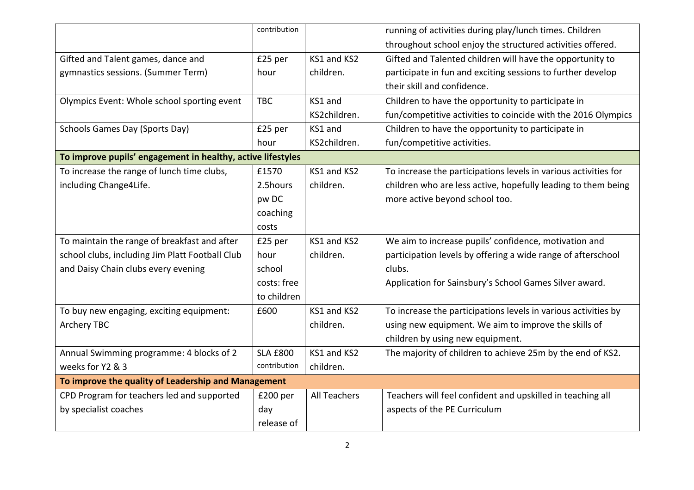|                                                             | contribution    |                     | running of activities during play/lunch times. Children         |  |  |  |
|-------------------------------------------------------------|-----------------|---------------------|-----------------------------------------------------------------|--|--|--|
|                                                             |                 |                     | throughout school enjoy the structured activities offered.      |  |  |  |
| Gifted and Talent games, dance and                          | £25 per         | KS1 and KS2         | Gifted and Talented children will have the opportunity to       |  |  |  |
| gymnastics sessions. (Summer Term)                          | hour            | children.           | participate in fun and exciting sessions to further develop     |  |  |  |
|                                                             |                 |                     | their skill and confidence.                                     |  |  |  |
| Olympics Event: Whole school sporting event                 | <b>TBC</b>      | KS1 and             | Children to have the opportunity to participate in              |  |  |  |
|                                                             |                 | KS2children.        | fun/competitive activities to coincide with the 2016 Olympics   |  |  |  |
| Schools Games Day (Sports Day)                              | £25 per         | KS1 and             | Children to have the opportunity to participate in              |  |  |  |
|                                                             | hour            | KS2children.        | fun/competitive activities.                                     |  |  |  |
| To improve pupils' engagement in healthy, active lifestyles |                 |                     |                                                                 |  |  |  |
| To increase the range of lunch time clubs,                  | £1570           | KS1 and KS2         | To increase the participations levels in various activities for |  |  |  |
| including Change4Life.                                      | 2.5hours        | children.           | children who are less active, hopefully leading to them being   |  |  |  |
|                                                             | pw DC           |                     | more active beyond school too.                                  |  |  |  |
|                                                             | coaching        |                     |                                                                 |  |  |  |
|                                                             | costs           |                     |                                                                 |  |  |  |
| To maintain the range of breakfast and after                | £25 per         | KS1 and KS2         | We aim to increase pupils' confidence, motivation and           |  |  |  |
| school clubs, including Jim Platt Football Club             | hour            | children.           | participation levels by offering a wide range of afterschool    |  |  |  |
| and Daisy Chain clubs every evening                         | school          |                     | clubs.                                                          |  |  |  |
|                                                             | costs: free     |                     | Application for Sainsbury's School Games Silver award.          |  |  |  |
|                                                             | to children     |                     |                                                                 |  |  |  |
| To buy new engaging, exciting equipment:                    | £600            | KS1 and KS2         | To increase the participations levels in various activities by  |  |  |  |
| <b>Archery TBC</b>                                          |                 | children.           | using new equipment. We aim to improve the skills of            |  |  |  |
|                                                             |                 |                     | children by using new equipment.                                |  |  |  |
| Annual Swimming programme: 4 blocks of 2                    | <b>SLA £800</b> | KS1 and KS2         | The majority of children to achieve 25m by the end of KS2.      |  |  |  |
| weeks for Y2 & 3                                            | contribution    | children.           |                                                                 |  |  |  |
| To improve the quality of Leadership and Management         |                 |                     |                                                                 |  |  |  |
| CPD Program for teachers led and supported                  | £200 per        | <b>All Teachers</b> | Teachers will feel confident and upskilled in teaching all      |  |  |  |
| by specialist coaches                                       | day             |                     | aspects of the PE Curriculum                                    |  |  |  |
|                                                             | release of      |                     |                                                                 |  |  |  |